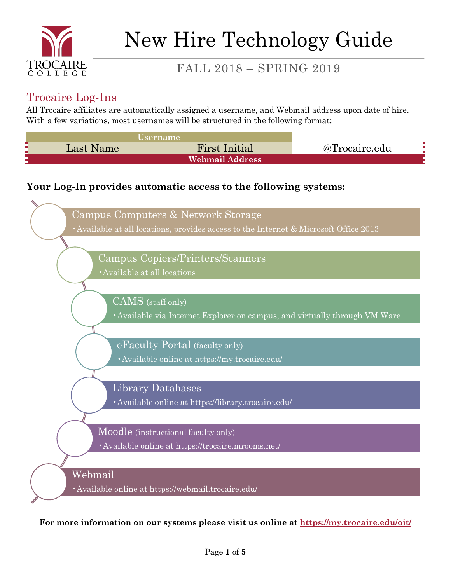

### Trocaire Log-Ins

All Trocaire affiliates are automatically assigned a username, and Webmail address upon date of hire. With a few variations, most usernames will be structured in the following format:



### **Your Log-In provides automatic access to the following systems:**



**For more information on our systems please visit us online at<https://my.trocaire.edu/oit/>**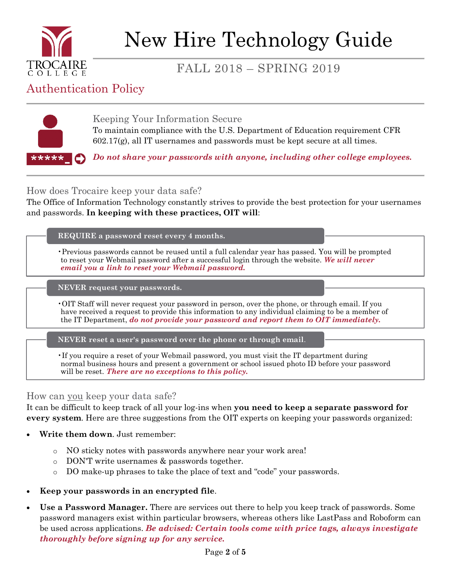

# New Hire Technology Guide

# FALL 2018 – SPRING 2019

### Authentication Policy



Keeping Your Information Secure To maintain compliance with the U.S. Department of Education requirement CFR  $602.17(g)$ , all IT usernames and passwords must be kept secure at all times.

*Do not share your passwords with anyone, including other college employees.*

How does Trocaire keep your data safe?

The Office of Information Technology constantly strives to provide the best protection for your usernames and passwords. **In keeping with these practices, OIT will**:

#### **REQUIRE a password reset every 4 months.**

•Previous passwords cannot be reused until a full calendar year has passed. You will be prompted to reset your Webmail password after a successful login through the website. *We will never email you a link to reset your Webmail password.*

**NEVER request your passwords.**

•OIT Staff will never request your password in person, over the phone, or through email. If you have received a request to provide this information to any individual claiming to be a member of the IT Department, *do not provide your password and report them to OIT immediately.*

**NEVER reset a user's password over the phone or through email**.

•If you require a reset of your Webmail password, you must visit the IT department during normal business hours and present a government or school issued photo ID before your password will be reset. *There are no exceptions to this policy.*

#### How can you keep your data safe?

It can be difficult to keep track of all your log-ins when **you need to keep a separate password for every system**. Here are three suggestions from the OIT experts on keeping your passwords organized:

- **Write them down**. Just remember:
	- o NO sticky notes with passwords anywhere near your work area!
	- o DON'T write usernames & passwords together.
	- o DO make-up phrases to take the place of text and "code" your passwords.
- **Keep your passwords in an encrypted file**.
- **Use a Password Manager.** There are services out there to help you keep track of passwords. Some password managers exist within particular browsers, whereas others like LastPass and Roboform can be used across applications. *Be advised: Certain tools come with price tags, always investigate thoroughly before signing up for any service.*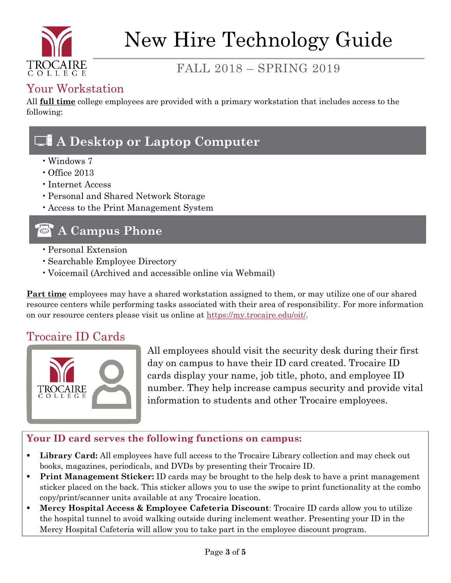

## Your Workstation

All **full time** college employees are provided with a primary workstation that includes access to the following:

# & **A Desktop or Laptop Computer**

- •Windows 7
- Office 2013
- •Internet Access
- •Personal and Shared Network Storage
- •Access to the Print Management System

# **A Campus Phone**

- •Personal Extension
- •Searchable Employee Directory
- •Voicemail (Archived and accessible online via Webmail)

**Part time** employees may have a shared workstation assigned to them, or may utilize one of our shared resource centers while performing tasks associated with their area of responsibility. For more information on our resource centers please visit us online at [https://my.trocaire.edu/oit/.](https://my.trocaire.edu/oit/)

### Trocaire ID Cards



All employees should visit the security desk during their first day on campus to have their ID card created. Trocaire ID cards display your name, job title, photo, and employee ID number. They help increase campus security and provide vital information to students and other Trocaire employees.

### **Your ID card serves the following functions on campus:**

- **Library Card:** All employees have full access to the Trocaire Library collection and may check out books, magazines, periodicals, and DVDs by presenting their Trocaire ID.
- **Print Management Sticker:** ID cards may be brought to the help desk to have a print management sticker placed on the back. This sticker allows you to use the swipe to print functionality at the combo copy/print/scanner units available at any Trocaire location.
- **Mercy Hospital Access & Employee Cafeteria Discount**: Trocaire ID cards allow you to utilize the hospital tunnel to avoid walking outside during inclement weather. Presenting your ID in the Mercy Hospital Cafeteria will allow you to take part in the employee discount program.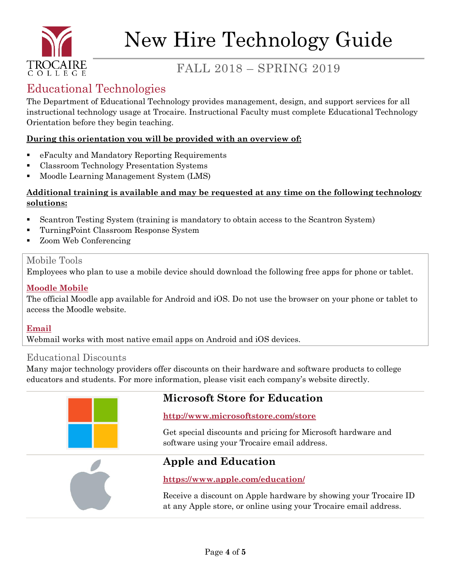

# Educational Technologies

The Department of Educational Technology provides management, design, and support services for all instructional technology usage at Trocaire. Instructional Faculty must complete Educational Technology Orientation before they begin teaching.

#### **During this orientation you will be provided with an overview of:**

- eFaculty and Mandatory Reporting Requirements
- Classroom Technology Presentation Systems
- Moodle Learning Management System (LMS)

#### **Additional training is available and may be requested at any time on the following technology solutions:**

- Scantron Testing System (training is mandatory to obtain access to the Scantron System)
- TurningPoint Classroom Response System
- Zoom Web Conferencing

### Mobile Tools

Employees who plan to use a mobile device should download the following free apps for phone or tablet.

### **[Moodle Mobile](https://download.moodle.org/mobile/)**

The official Moodle app available for Android and iOS. Do not use the browser on your phone or tablet to access the Moodle website.

### **Email**

Webmail works with most native email apps on Android and iOS devices.

### Educational Discounts

Many major technology providers offer discounts on their hardware and software products to college educators and students. For more information, please visit each company's website directly.



### **Microsoft Store for Education**

### **http://www.microsoftstore.com/store**

Get special discounts and pricing for Microsoft hardware and software using your Trocaire email address.



### **Apple and Education**

#### **https://www.apple.com/education/**

Receive a discount on Apple hardware by showing your Trocaire ID at any Apple store, or online using your Trocaire email address.